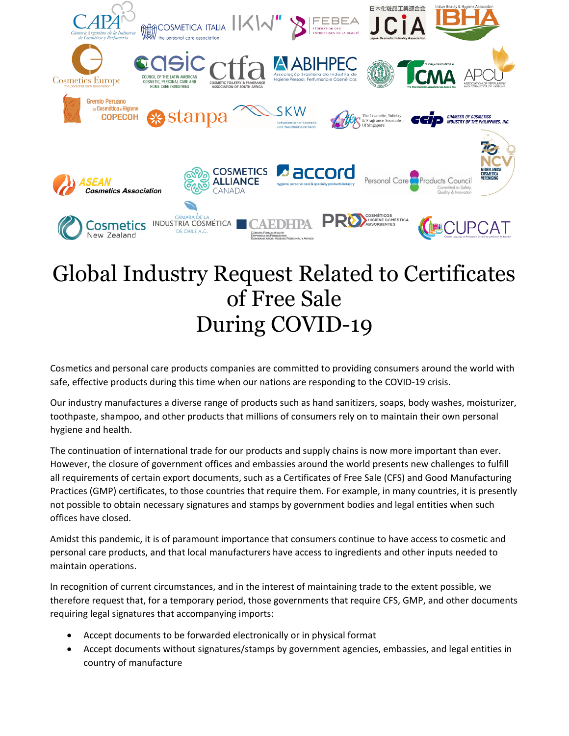

## Global Industry Request Related to Certificates of Free Sale During COVID-19

Cosmetics and personal care products companies are committed to providing consumers around the world with safe, effective products during this time when our nations are responding to the COVID-19 crisis.

Our industry manufactures a diverse range of products such as hand sanitizers, soaps, body washes, moisturizer, toothpaste, shampoo, and other products that millions of consumers rely on to maintain their own personal hygiene and health.

The continuation of international trade for our products and supply chains is now more important than ever. However, the closure of government offices and embassies around the world presents new challenges to fulfill all requirements of certain export documents, such as a Certificates of Free Sale (CFS) and Good Manufacturing Practices (GMP) certificates, to those countries that require them. For example, in many countries, it is presently not possible to obtain necessary signatures and stamps by government bodies and legal entities when such offices have closed.

Amidst this pandemic, it is of paramount importance that consumers continue to have access to cosmetic and personal care products, and that local manufacturers have access to ingredients and other inputs needed to maintain operations.

In recognition of current circumstances, and in the interest of maintaining trade to the extent possible, we therefore request that, for a temporary period, those governments that require CFS, GMP, and other documents requiring legal signatures that accompanying imports:

- Accept documents to be forwarded electronically or in physical format
- Accept documents without signatures/stamps by government agencies, embassies, and legal entities in country of manufacture